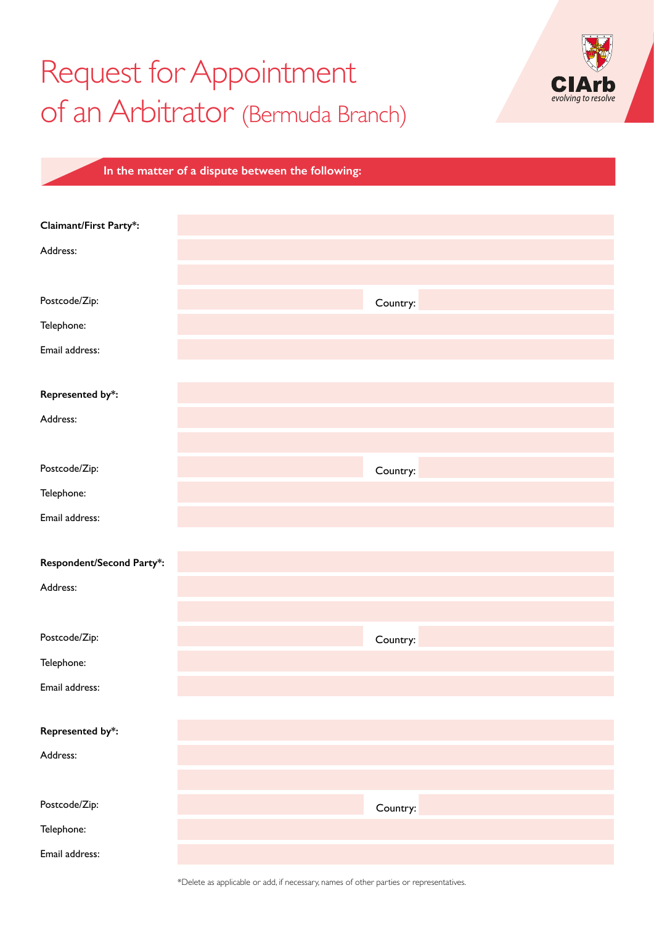## Request for Appointment of an Arbitrator (Bermuda Branch)



| In the matter of a dispute between the following: |  |
|---------------------------------------------------|--|
|                                                   |  |

| Claimant/First Party*:    |          |
|---------------------------|----------|
| Address:                  |          |
|                           |          |
|                           |          |
| Postcode/Zip:             | Country: |
| Telephone:                |          |
| Email address:            |          |
|                           |          |
| Represented by*:          |          |
| Address:                  |          |
|                           |          |
| Postcode/Zip:             | Country: |
| Telephone:                |          |
| Email address:            |          |
|                           |          |
| Respondent/Second Party*: |          |
| Address:                  |          |
|                           |          |
| Postcode/Zip:             | Country: |
| Telephone:                |          |
| Email address:            |          |
|                           |          |
| Represented by*:          |          |
| Address:                  |          |
|                           |          |
| Postcode/Zip:             | Country: |
| Telephone:                |          |
| Email address:            |          |

\*Delete as applicable or add, if necessary, names of other parties or representatives.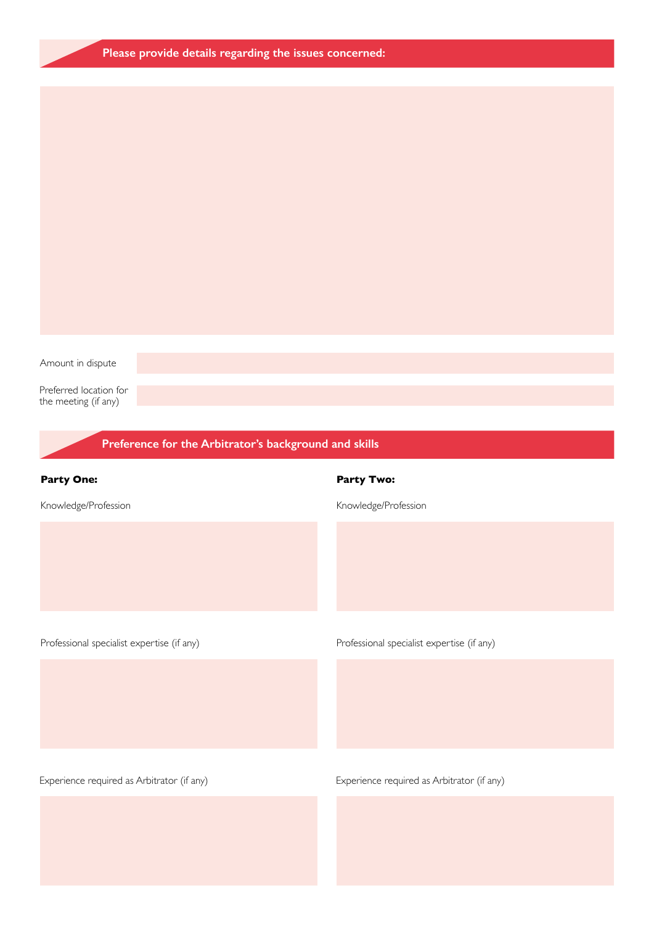|  |  | Please provide details regarding the issues concerned: |  |
|--|--|--------------------------------------------------------|--|

Amount in dispute

Preferred location for the meeting (if any)

| the meeting (ii any)                                  |                                            |  |  |  |
|-------------------------------------------------------|--------------------------------------------|--|--|--|
| Preference for the Arbitrator's background and skills |                                            |  |  |  |
| <b>Party One:</b>                                     | <b>Party Two:</b>                          |  |  |  |
| Knowledge/Profession                                  | Knowledge/Profession                       |  |  |  |
|                                                       |                                            |  |  |  |
|                                                       |                                            |  |  |  |
| Professional specialist expertise (if any)            | Professional specialist expertise (if any) |  |  |  |
|                                                       |                                            |  |  |  |
|                                                       |                                            |  |  |  |
|                                                       |                                            |  |  |  |
| Experience required as Arbitrator (if any)            | Experience required as Arbitrator (if any) |  |  |  |
|                                                       |                                            |  |  |  |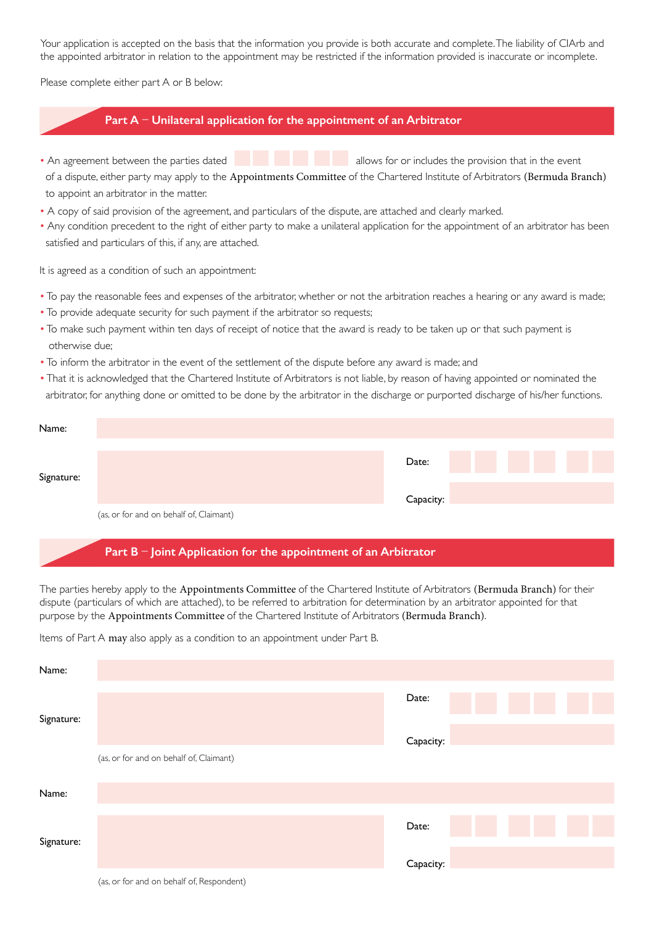Your application is accepted on the basis that the information you provide is both accurate and complete. The liability of CIArb and the appointed arbitrator in relation to the appointment may be restricted if the information provided is inaccurate or incomplete.

Please complete either part A or B below:

## Part A – Unilateral application for the appointment of an Arbitrator

- An agreement between the parties dated **allows** for or includes the provision that in the event of a dispute, either party may apply to the Appointments Committee of the Chartered Institute of Arbitrators (Bermuda Branch) to appoint an arbitrator in the matter.
- A copy of said provision of the agreement, and particulars of the dispute, are attached and clearly marked.
- Any condition precedent to the right of either party to make a unilateral application for the appointment of an arbitrator has been satisfied and particulars of this, if any, are attached.

It is agreed as a condition of such an appointment:

- To pay the reasonable fees and expenses of the arbitrator, whether or not the arbitration reaches a hearing or any award is made;
- To provide adequate security for such payment if the arbitrator so requests;
- To make such payment within ten days of receipt of notice that the award is ready to be taken up or that such payment is otherwise due;
- To inform the arbitrator in the event of the settlement of the dispute before any award is made; and
- That it is acknowledged that the Chartered Institute of Arbitrators is not liable, by reason of having appointed or nominated the

arbitrator, for anything done or omitted to be done by the arbitrator in the discharge or purported discharge of his/her functions.

| Name:      |                                         |           |  |  |
|------------|-----------------------------------------|-----------|--|--|
| Signature: |                                         | Date:     |  |  |
|            |                                         | Capacity: |  |  |
|            | (as, or for and on behalf of, Claimant) |           |  |  |

## Part B – Joint Application for the appointment of an Arbitrator

The parties hereby apply to the Appointments Committee of the Chartered Institute of Arbitrators (Bermuda Branch) for their dispute (particulars of which are attached), to be referred to arbitration for determination by an arbitrator appointed for that purpose by the Appointments Committee of the Chartered Institute of Arbitrators (Bermuda Branch).

Items of Part A may also apply as a condition to an appointment under Part B.

| Name:      |                                         |           |
|------------|-----------------------------------------|-----------|
|            |                                         | Date:     |
| Signature: |                                         |           |
|            |                                         | Capacity: |
|            | (as, or for and on behalf of, Claimant) |           |
| Name:      |                                         |           |
|            |                                         | Date:     |
| Signature: |                                         |           |
|            |                                         | Capacity: |
|            |                                         |           |

<sup>(</sup>as, or for and on behalf of, Respondent)